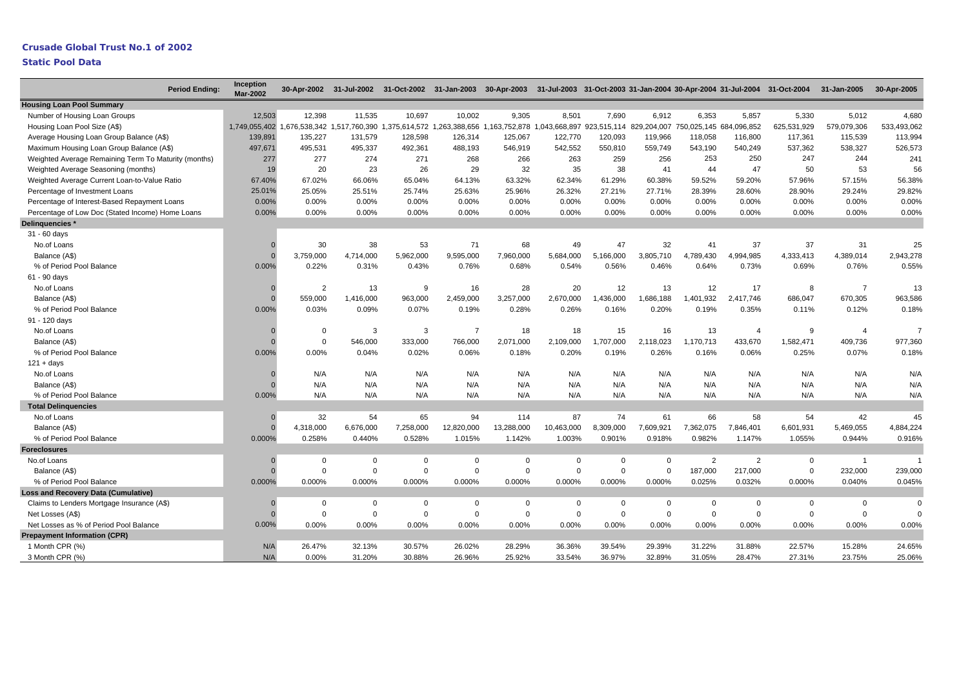# **Crusade Global Trust No.1 of 2002**

|                                                      | <b>Period Ending:</b> | Inception<br><b>Mar-2002</b> |                |           | 30-Apr-2002 31-Jul-2002 31-Oct-2002 31-Jan-2003 30-Apr-2003 31-Jul-2003 31-Oct-2003 31-Jan-2004 30-Apr-2004 31-Jul-2004 31-Oct-2004               |             |             |                |             |                |                |                |             | 31-Jan-2005    | 30-Apr-2005    |
|------------------------------------------------------|-----------------------|------------------------------|----------------|-----------|---------------------------------------------------------------------------------------------------------------------------------------------------|-------------|-------------|----------------|-------------|----------------|----------------|----------------|-------------|----------------|----------------|
| <b>Housing Loan Pool Summary</b>                     |                       |                              |                |           |                                                                                                                                                   |             |             |                |             |                |                |                |             |                |                |
| Number of Housing Loan Groups                        |                       | 12,503                       | 12,398         | 11,535    | 10,697                                                                                                                                            | 10.002      | 9,305       | 8,501          | 7.690       | 6,912          | 6,353          | 5,857          | 5,330       | 5,012          | 4,680          |
| Housing Loan Pool Size (A\$)                         |                       |                              |                |           | 1,749,055,402 1,676,538,342 1,517,760,390 1,375,614,572 1,263,388,656 1,163,752,878 1,043,668,897 923,515,114 829,204,007 750,025,145 684,096,852 |             |             |                |             |                |                |                | 625,531,929 | 579,079,306    | 533,493,062    |
| Average Housing Loan Group Balance (A\$)             |                       | 139,891                      | 135,227        | 131,579   | 128,598                                                                                                                                           | 126,314     | 125,067     | 122,770        | 120,093     | 119,966        | 118,058        | 116,800        | 117,361     | 115,539        | 113,994        |
| Maximum Housing Loan Group Balance (A\$)             |                       | 497,671                      | 495,531        | 495,337   | 492,361                                                                                                                                           | 488,193     | 546,919     | 542,552        | 550,810     | 559,749        | 543,190        | 540,249        | 537,362     | 538,327        | 526,573        |
| Weighted Average Remaining Term To Maturity (months) |                       | 277                          | 277            | 274       | 271                                                                                                                                               | 268         | 266         | 263            | 259         | 256            | 253            | 250            | 247         | 244            | 241            |
| Weighted Average Seasoning (months)                  |                       | 19                           | 20             | 23        | 26                                                                                                                                                | 29          | 32          | 35             | 38          | 41             | 44             | 47             | 50          | 53             | 56             |
| Weighted Average Current Loan-to-Value Ratio         |                       | 67.40%                       | 67.02%         | 66.06%    | 65.04%                                                                                                                                            | 64.13%      | 63.32%      | 62.34%         | 61.29%      | 60.38%         | 59.52%         | 59.20%         | 57.96%      | 57.15%         | 56.38%         |
| Percentage of Investment Loans                       |                       | 25.01%                       | 25.05%         | 25.51%    | 25.74%                                                                                                                                            | 25.63%      | 25.96%      | 26.32%         | 27.21%      | 27.71%         | 28.39%         | 28.60%         | 28.90%      | 29.24%         | 29.82%         |
| Percentage of Interest-Based Repayment Loans         |                       | 0.00%                        | 0.00%          | 0.00%     | $0.00\%$                                                                                                                                          | 0.00%       | $0.00\%$    | 0.00%          | 0.00%       | 0.00%          | 0.00%          | 0.00%          | 0.00%       | 0.00%          | 0.00%          |
| Percentage of Low Doc (Stated Income) Home Loans     |                       | 0.00%                        | 0.00%          | 0.00%     | 0.00%                                                                                                                                             | 0.00%       | 0.00%       | 0.00%          | 0.00%       | 0.00%          | 0.00%          | 0.00%          | 0.00%       | 0.00%          | 0.00%          |
| Delinquencies*                                       |                       |                              |                |           |                                                                                                                                                   |             |             |                |             |                |                |                |             |                |                |
| 31 - 60 days                                         |                       |                              |                |           |                                                                                                                                                   |             |             |                |             |                |                |                |             |                |                |
| No.of Loans                                          |                       |                              | 30             | 38        | 53                                                                                                                                                | 71          | 68          | 49             | 47          | 32             | 41             | 37             | 37          | 31             | 25             |
| Balance (A\$)                                        |                       |                              | 3,759,000      | 4,714,000 | 5,962,000                                                                                                                                         | 9,595,000   | 7,960,000   | 5,684,000      | 5,166,000   | 3,805,710      | 4,789,430      | 4,994,985      | 4,333,413   | 4,389,014      | 2,943,278      |
| % of Period Pool Balance                             |                       | 0.00%                        | 0.22%          | 0.31%     | 0.43%                                                                                                                                             | 0.76%       | 0.68%       | 0.54%          | 0.56%       | 0.46%          | 0.64%          | 0.73%          | 0.69%       | 0.76%          | 0.55%          |
| 61 - 90 days                                         |                       |                              |                |           |                                                                                                                                                   |             |             |                |             |                |                |                |             |                |                |
| No.of Loans                                          |                       |                              | $\overline{2}$ | 13        | 9                                                                                                                                                 | 16          | 28          | 20             | 12          | 13             | 12             | 17             | 8           | $\overline{7}$ | 13             |
| Balance (A\$)                                        |                       |                              | 559,000        | 1,416,000 | 963,000                                                                                                                                           | 2,459,000   | 3,257,000   | 2,670,000      | ,436,000    | 1,686,188      | 1,401,932      | 2,417,746      | 686,047     | 670,305        | 963,586        |
| % of Period Pool Balance                             |                       | 0.00%                        | 0.03%          | 0.09%     | 0.07%                                                                                                                                             | 0.19%       | 0.28%       | 0.26%          | 0.16%       | 0.20%          | 0.19%          | 0.35%          | 0.11%       | 0.12%          | 0.18%          |
| 91 - 120 days                                        |                       |                              |                |           |                                                                                                                                                   |             |             |                |             |                |                |                |             |                |                |
| No.of Loans                                          |                       |                              | $\Omega$       | 3         | 3                                                                                                                                                 | 7           | 18          | 18             | 15          | 16             | 13             | $\overline{4}$ | 9           | $\overline{4}$ | $\overline{7}$ |
| Balance (A\$)                                        |                       |                              | $\mathbf 0$    | 546,000   | 333,000                                                                                                                                           | 766,000     | 2,071,000   | 2,109,000      | ,707,000    | 2,118,023      | 1,170,713      | 433,670        | 1,582,471   | 409,736        | 977,360        |
| % of Period Pool Balance                             |                       | 0.00%                        | 0.00%          | 0.04%     | 0.02%                                                                                                                                             | 0.06%       | 0.18%       | 0.20%          | 0.19%       | 0.26%          | 0.16%          | 0.06%          | 0.25%       | 0.07%          | 0.18%          |
| $121 + days$                                         |                       |                              |                |           |                                                                                                                                                   |             |             |                |             |                |                |                |             |                |                |
| No.of Loans                                          |                       |                              | N/A            | N/A       | N/A                                                                                                                                               | N/A         | N/A         | N/A            | N/A         | N/A            | N/A            | N/A            | N/A         | N/A            | N/A            |
| Balance (A\$)                                        |                       |                              | N/A            | N/A       | N/A                                                                                                                                               | N/A         | N/A         | N/A            | N/A         | N/A            | N/A            | N/A            | N/A         | N/A            | N/A            |
| % of Period Pool Balance                             |                       | 0.00%                        | N/A            | N/A       | N/A                                                                                                                                               | N/A         | N/A         | N/A            | N/A         | N/A            | N/A            | N/A            | N/A         | N/A            | N/A            |
| <b>Total Delinguencies</b>                           |                       |                              |                |           |                                                                                                                                                   |             |             |                |             |                |                |                |             |                |                |
| No.of Loans                                          |                       | $\Omega$                     | 32             | 54        | 65                                                                                                                                                | 94          | 114         | 87             | 74          | 61             | 66             | 58             | 54          | 42             | 45             |
| Balance (A\$)                                        |                       |                              | 4,318,000      | 6,676,000 | 7,258,000                                                                                                                                         | 12,820,000  | 13,288,000  | 10,463,000     | 8,309,000   | 7,609,921      | 7,362,075      | 7,846,401      | 6,601,931   | 5,469,055      | 4,884,224      |
| % of Period Pool Balance                             |                       | 0.000%                       | 0.258%         | 0.440%    | 0.528%                                                                                                                                            | 1.015%      | 1.142%      | 1.003%         | 0.901%      | 0.918%         | 0.982%         | 1.147%         | 1.055%      | 0.944%         | 0.916%         |
| <b>Foreclosures</b>                                  |                       |                              |                |           |                                                                                                                                                   |             |             |                |             |                |                |                |             |                |                |
| No.of Loans                                          |                       | $\Omega$                     | $\Omega$       | $\Omega$  | 0                                                                                                                                                 | $\mathbf 0$ | $\mathbf 0$ | $\mathbf 0$    | $\mathbf 0$ | $\Omega$       | $\overline{2}$ | $\overline{2}$ | 0           | $\overline{1}$ |                |
| Balance (A\$)                                        |                       |                              | $\Omega$       | $\Omega$  | $\Omega$                                                                                                                                          | $\Omega$    | $\Omega$    | $\overline{0}$ | $\Omega$    | $\Omega$       | 187,000        | 217,000        | $\Omega$    | 232,000        | 239,000        |
| % of Period Pool Balance                             |                       | 0.000%                       | 0.000%         | 0.000%    | 0.000%                                                                                                                                            | 0.000%      | 0.000%      | 0.000%         | 0.000%      | 0.000%         | 0.025%         | 0.032%         | 0.000%      | 0.040%         | 0.045%         |
| <b>Loss and Recovery Data (Cumulative)</b>           |                       |                              |                |           |                                                                                                                                                   |             |             |                |             |                |                |                |             |                |                |
| Claims to Lenders Mortgage Insurance (A\$)           |                       |                              | $\Omega$       | $\Omega$  | 0                                                                                                                                                 | $\mathbf 0$ | $\mathbf 0$ | $\mathbf 0$    | $\Omega$    | $\mathbf{0}$   | $\Omega$       | $\Omega$       | 0           | $\mathbf 0$    | $\mathbf 0$    |
| Net Losses (A\$)                                     |                       | $\Omega$                     | $\mathbf 0$    | $\Omega$  | $\mathbf 0$                                                                                                                                       | $\mathbf 0$ | $\mathbf 0$ | $\mathsf 0$    | $\mathbf 0$ | $\overline{0}$ | $\mathbf 0$    | $\mathbf 0$    | $\mathbf 0$ | $\mathbf 0$    | U              |
| Net Losses as % of Period Pool Balance               |                       | 0.00%                        | 0.00%          | 0.00%     | 0.00%                                                                                                                                             | 0.00%       | 0.00%       | 0.00%          | 0.00%       | 0.00%          | 0.00%          | 0.00%          | 0.00%       | 0.00%          | 0.00%          |
| <b>Prepayment Information (CPR)</b>                  |                       |                              |                |           |                                                                                                                                                   |             |             |                |             |                |                |                |             |                |                |
| 1 Month CPR (%)                                      |                       | N/A                          | 26.47%         | 32.13%    | 30.57%                                                                                                                                            | 26.02%      | 28.29%      | 36.36%         | 39.54%      | 29.39%         | 31.22%         | 31.88%         | 22.57%      | 15.28%         | 24.65%         |
| 3 Month CPR (%)                                      |                       | N/A                          | 0.00%          | 31.20%    | 30.88%                                                                                                                                            | 26.96%      | 25.92%      | 33.54%         | 36.97%      | 32.89%         | 31.05%         | 28.47%         | 27.31%      | 23.75%         | 25.06%         |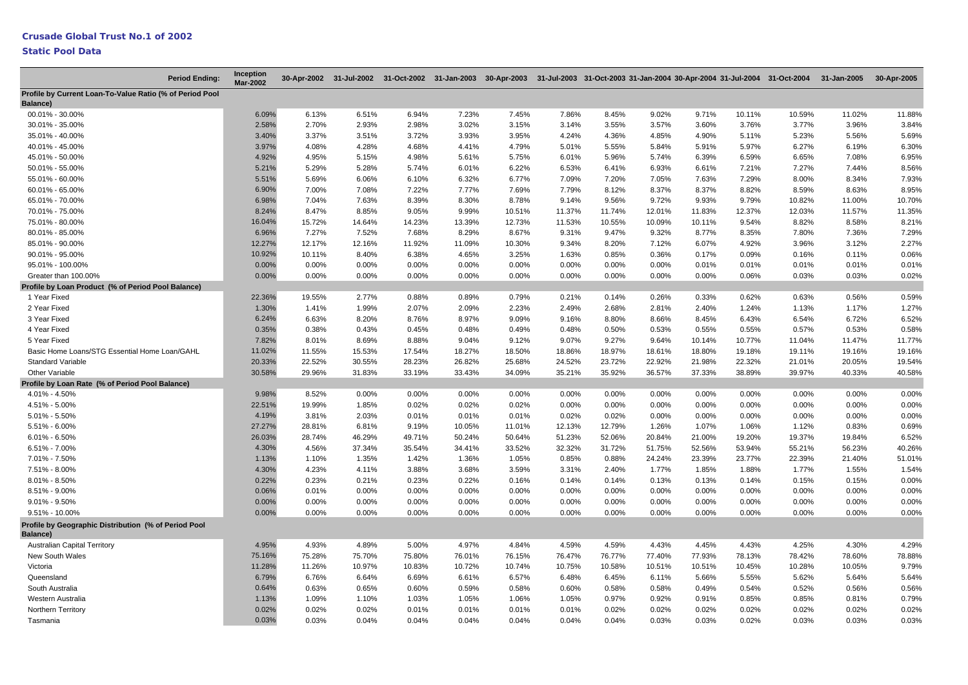#### **Crusade Global Trust No.1 of 2002**

| <b>Period Ending:</b>                                            | Inception<br><b>Mar-2002</b> |        |        |        |        |        |        |        |        |        |          | 30-Apr-2002 31-Jul-2002 31-Oct-2002 31-Jan-2003 30-Apr-2003 31-Jul-2003 31-Oct-2003 31-Jan-2004 30-Apr-2004 31-Jul-2004 31-Jul-2004 31-Oct-2004 31-Jul-2004 31-Jul-2004 31-Jul-2004 31-Jul-2004 31-Jul-2004 31-Jul-2004 31-Jul |        | 30-Apr-2005 |
|------------------------------------------------------------------|------------------------------|--------|--------|--------|--------|--------|--------|--------|--------|--------|----------|--------------------------------------------------------------------------------------------------------------------------------------------------------------------------------------------------------------------------------|--------|-------------|
| Profile by Current Loan-To-Value Ratio (% of Period Pool         |                              |        |        |        |        |        |        |        |        |        |          |                                                                                                                                                                                                                                |        |             |
| Balance)                                                         |                              |        |        |        |        |        |        |        |        |        |          |                                                                                                                                                                                                                                |        |             |
| 00.01% - 30.00%                                                  | 6.09%                        | 6.13%  | 6.51%  | 6.94%  | 7.23%  | 7.45%  | 7.86%  | 8.45%  | 9.02%  | 9.71%  | 10.11%   | 10.59%                                                                                                                                                                                                                         | 11.02% | 11.88%      |
| 30.01% - 35.00%                                                  | 2.58%                        | 2.70%  | 2.93%  | 2.98%  | 3.02%  | 3.15%  | 3.14%  | 3.55%  | 3.57%  | 3.60%  | 3.76%    | 3.77%                                                                                                                                                                                                                          | 3.96%  | 3.84%       |
| 35.01% - 40.00%                                                  | 3.40%                        | 3.37%  | 3.51%  | 3.72%  | 3.93%  | 3.95%  | 4.24%  | 4.36%  | 4.85%  | 4.90%  | 5.11%    | 5.23%                                                                                                                                                                                                                          | 5.56%  | 5.69%       |
| 40.01% - 45.00%                                                  | 3.97%                        | 4.08%  | 4.28%  | 4.68%  | 4.41%  | 4.79%  | 5.01%  | 5.55%  | 5.84%  | 5.91%  | 5.97%    | 6.27%                                                                                                                                                                                                                          | 6.19%  | 6.30%       |
| 45.01% - 50.00%                                                  | 4.92%                        | 4.95%  | 5.15%  | 4.98%  | 5.61%  | 5.75%  | 6.01%  | 5.96%  | 5.74%  | 6.39%  | 6.59%    | 6.65%                                                                                                                                                                                                                          | 7.08%  | 6.95%       |
| 50.01% - 55.00%                                                  | 5.21%                        | 5.29%  | 5.28%  | 5.74%  | 6.01%  | 6.22%  | 6.53%  | 6.41%  | 6.93%  | 6.61%  | 7.21%    | 7.27%                                                                                                                                                                                                                          | 7.44%  | 8.56%       |
| 55.01% - 60.00%                                                  | 5.51%                        | 5.69%  | 6.06%  | 6.10%  | 6.32%  | 6.77%  | 7.09%  | 7.20%  | 7.05%  | 7.63%  | 7.29%    | 8.00%                                                                                                                                                                                                                          | 8.34%  | 7.93%       |
| 60.01% - 65.00%                                                  | 6.90%                        | 7.00%  | 7.08%  | 7.22%  | 7.77%  | 7.69%  | 7.79%  | 8.12%  | 8.37%  | 8.37%  | 8.82%    | 8.59%                                                                                                                                                                                                                          | 8.63%  | 8.95%       |
| 65.01% - 70.00%                                                  | 6.98%                        | 7.04%  | 7.63%  | 8.39%  | 8.30%  | 8.78%  | 9.14%  | 9.56%  | 9.72%  | 9.93%  | 9.79%    | 10.82%                                                                                                                                                                                                                         | 11.00% | 10.70%      |
| 70.01% - 75.00%                                                  | 8.24%                        | 8.47%  | 8.85%  | 9.05%  | 9.99%  | 10.51% | 11.37% | 11.74% | 12.01% | 11.83% | 12.37%   | 12.03%                                                                                                                                                                                                                         | 11.57% | 11.35%      |
| 75.01% - 80.00%                                                  | 16.04%                       | 15.72% | 14.64% | 14.23% | 13.39% | 12.73% | 11.53% | 10.55% | 10.09% | 10.11% | 9.54%    | 8.82%                                                                                                                                                                                                                          | 8.58%  | 8.21%       |
| 80.01% - 85.00%                                                  | 6.96%                        | 7.27%  | 7.52%  | 7.68%  | 8.29%  | 8.67%  | 9.31%  | 9.47%  | 9.32%  | 8.77%  | 8.35%    | 7.80%                                                                                                                                                                                                                          | 7.36%  | 7.29%       |
| 85.01% - 90.00%                                                  | 12.27%                       | 12.17% | 12.16% | 11.92% | 11.09% | 10.30% | 9.34%  | 8.20%  | 7.12%  | 6.07%  | 4.92%    | 3.96%                                                                                                                                                                                                                          | 3.12%  | 2.27%       |
| 90.01% - 95.00%                                                  | 10.92%                       | 10.11% | 8.40%  | 6.38%  | 4.65%  | 3.25%  | 1.63%  | 0.85%  | 0.36%  | 0.17%  | 0.09%    | 0.16%                                                                                                                                                                                                                          | 0.11%  | 0.06%       |
| 95.01% - 100.00%                                                 | 0.00%                        | 0.00%  | 0.00%  | 0.00%  | 0.00%  | 0.00%  | 0.00%  | 0.00%  | 0.00%  | 0.01%  | 0.01%    | 0.01%                                                                                                                                                                                                                          | 0.01%  | 0.01%       |
| Greater than 100.00%                                             | 0.00%                        | 0.00%  | 0.00%  | 0.00%  | 0.00%  | 0.00%  | 0.00%  | 0.00%  | 0.00%  | 0.00%  | 0.06%    | 0.03%                                                                                                                                                                                                                          | 0.03%  | 0.02%       |
| Profile by Loan Product (% of Period Pool Balance)               |                              |        |        |        |        |        |        |        |        |        |          |                                                                                                                                                                                                                                |        |             |
| 1 Year Fixed                                                     | 22.36%                       | 19.55% | 2.77%  | 0.88%  | 0.89%  | 0.79%  | 0.21%  | 0.14%  | 0.26%  | 0.33%  | 0.62%    | 0.63%                                                                                                                                                                                                                          | 0.56%  | 0.59%       |
| 2 Year Fixed                                                     | 1.30%                        | 1.41%  | 1.99%  | 2.07%  | 2.09%  | 2.23%  | 2.49%  | 2.68%  | 2.81%  | 2.40%  | 1.24%    | 1.13%                                                                                                                                                                                                                          | 1.17%  | 1.27%       |
| 3 Year Fixed                                                     | 6.24%                        | 6.63%  | 8.20%  | 8.76%  | 8.97%  | 9.09%  | 9.16%  | 8.80%  | 8.66%  | 8.45%  | 6.43%    | 6.54%                                                                                                                                                                                                                          | 6.72%  | 6.52%       |
| 4 Year Fixed                                                     | 0.35%                        | 0.38%  | 0.43%  | 0.45%  | 0.48%  | 0.49%  | 0.48%  | 0.50%  | 0.53%  | 0.55%  | 0.55%    | 0.57%                                                                                                                                                                                                                          | 0.53%  | 0.58%       |
| 5 Year Fixed                                                     | 7.82%                        | 8.01%  | 8.69%  | 8.88%  | 9.04%  | 9.12%  | 9.07%  | 9.27%  | 9.64%  | 10.14% | 10.77%   | 11.04%                                                                                                                                                                                                                         | 11.47% | 11.77%      |
| Basic Home Loans/STG Essential Home Loan/GAHL                    | 11.02%                       | 11.55% | 15.53% | 17.54% | 18.27% | 18.50% | 18.86% | 18.97% | 18.61% | 18.80% | 19.18%   | 19.11%                                                                                                                                                                                                                         | 19.16% | 19.16%      |
| <b>Standard Variable</b>                                         | 20.33%                       | 22.52% | 30.55% | 28.23% | 26.82% | 25.68% | 24.52% | 23.72% | 22.92% | 21.98% | 22.32%   | 21.01%                                                                                                                                                                                                                         | 20.05% | 19.54%      |
| Other Variable                                                   | 30.58%                       | 29.96% | 31.83% | 33.19% | 33.43% | 34.09% | 35.21% | 35.92% | 36.57% | 37.33% | 38.89%   | 39.97%                                                                                                                                                                                                                         | 40.33% | 40.58%      |
| Profile by Loan Rate (% of Period Pool Balance)                  |                              |        |        |        |        |        |        |        |        |        |          |                                                                                                                                                                                                                                |        |             |
| 4.01% - 4.50%                                                    | 9.98%                        | 8.52%  | 0.00%  | 0.00%  | 0.00%  | 0.00%  | 0.00%  | 0.00%  | 0.00%  | 0.00%  | $0.00\%$ | 0.00%                                                                                                                                                                                                                          | 0.00%  | 0.00%       |
| 4.51% - 5.00%                                                    | 22.51%                       | 19.99% | 1.85%  | 0.02%  | 0.02%  | 0.02%  | 0.00%  | 0.00%  | 0.00%  | 0.00%  | $0.00\%$ | 0.00%                                                                                                                                                                                                                          | 0.00%  | 0.00%       |
| $5.01\% - 5.50\%$                                                | 4.19%                        | 3.81%  | 2.03%  | 0.01%  | 0.01%  | 0.01%  | 0.02%  | 0.02%  | 0.00%  | 0.00%  | 0.00%    | 0.00%                                                                                                                                                                                                                          | 0.00%  | 0.00%       |
| 5.51% - 6.00%                                                    | 27.27%                       | 28.81% | 6.81%  | 9.19%  | 10.05% | 11.01% | 12.13% | 12.79% | 1.26%  | 1.07%  | 1.06%    | 1.12%                                                                                                                                                                                                                          | 0.83%  | 0.69%       |
| $6.01\% - 6.50\%$                                                | 26.03%                       | 28.74% | 46.29% | 49.71% | 50.24% | 50.64% | 51.23% | 52.06% | 20.84% | 21.00% | 19.20%   | 19.37%                                                                                                                                                                                                                         | 19.84% | 6.52%       |
| $6.51\% - 7.00\%$                                                | 4.30%                        | 4.56%  | 37.34% | 35.54% | 34.41% | 33.52% | 32.32% | 31.72% | 51.75% | 52.56% | 53.94%   | 55.21%                                                                                                                                                                                                                         | 56.23% | 40.26%      |
| 7.01% - 7.50%                                                    | 1.13%                        | 1.10%  | 1.35%  | 1.42%  | 1.36%  | 1.05%  | 0.85%  | 0.88%  | 24.24% | 23.39% | 23.77%   | 22.39%                                                                                                                                                                                                                         | 21.40% | 51.01%      |
| 7.51% - 8.00%                                                    | 4.30%                        | 4.23%  | 4.11%  | 3.88%  | 3.68%  | 3.59%  | 3.31%  | 2.40%  | 1.77%  | 1.85%  | 1.88%    | 1.77%                                                                                                                                                                                                                          | 1.55%  | 1.54%       |
| 8.01% - 8.50%                                                    | 0.22%                        | 0.23%  | 0.21%  | 0.23%  | 0.22%  | 0.16%  | 0.14%  | 0.14%  | 0.13%  | 0.13%  | 0.14%    | 0.15%                                                                                                                                                                                                                          | 0.15%  | 0.00%       |
| 8.51% - 9.00%                                                    | 0.06%                        | 0.01%  | 0.00%  | 0.00%  | 0.00%  | 0.00%  | 0.00%  | 0.00%  | 0.00%  | 0.00%  | 0.00%    | 0.00%                                                                                                                                                                                                                          | 0.00%  | 0.00%       |
| $9.01\% - 9.50\%$                                                | 0.00%                        | 0.00%  | 0.00%  | 0.00%  | 0.00%  | 0.00%  | 0.00%  | 0.00%  | 0.00%  | 0.00%  | 0.00%    | 0.00%                                                                                                                                                                                                                          | 0.00%  | 0.00%       |
| 9.51% - 10.00%                                                   | 0.00%                        | 0.00%  | 0.00%  | 0.00%  | 0.00%  | 0.00%  | 0.00%  | 0.00%  | 0.00%  | 0.00%  | 0.00%    | 0.00%                                                                                                                                                                                                                          | 0.00%  | 0.00%       |
| Profile by Geographic Distribution (% of Period Pool<br>Balance) |                              |        |        |        |        |        |        |        |        |        |          |                                                                                                                                                                                                                                |        |             |
| <b>Australian Capital Territory</b>                              | 4.95%                        | 4.93%  | 4.89%  | 5.00%  | 4.97%  | 4.84%  | 4.59%  | 4.59%  | 4.43%  | 4.45%  | 4.43%    | 4.25%                                                                                                                                                                                                                          | 4.30%  | 4.29%       |
| New South Wales                                                  | 75.16%                       | 75.28% | 75.70% | 75.80% | 76.01% | 76.15% | 76.47% | 76.77% | 77.40% | 77.93% | 78.13%   | 78.42%                                                                                                                                                                                                                         | 78.60% | 78.88%      |
| Victoria                                                         | 11.28%                       | 11.26% | 10.97% | 10.83% | 10.72% | 10.74% | 10.75% | 10.58% | 10.51% | 10.51% | 10.45%   | 10.28%                                                                                                                                                                                                                         | 10.05% | 9.79%       |
| Queensland                                                       | 6.79%                        | 6.76%  | 6.64%  | 6.69%  | 6.61%  | 6.57%  | 6.48%  | 6.45%  | 6.11%  | 5.66%  | 5.55%    | 5.62%                                                                                                                                                                                                                          | 5.64%  | 5.64%       |
| South Australia                                                  | 0.64%                        | 0.63%  | 0.65%  | 0.60%  | 0.59%  | 0.58%  | 0.60%  | 0.58%  | 0.58%  | 0.49%  | 0.54%    | 0.52%                                                                                                                                                                                                                          | 0.56%  | 0.56%       |
| Western Australia                                                | 1.13%                        | 1.09%  | 1.10%  | 1.03%  | 1.05%  | 1.06%  | 1.05%  | 0.97%  | 0.92%  | 0.91%  | 0.85%    | 0.85%                                                                                                                                                                                                                          | 0.81%  | 0.79%       |
| <b>Northern Territory</b>                                        | 0.02%                        | 0.02%  | 0.02%  | 0.01%  | 0.01%  | 0.01%  | 0.01%  | 0.02%  | 0.02%  | 0.02%  | 0.02%    | 0.02%                                                                                                                                                                                                                          | 0.02%  | 0.02%       |
| Tasmania                                                         | 0.03%                        | 0.03%  | 0.04%  | 0.04%  | 0.04%  | 0.04%  | 0.04%  | 0.04%  | 0.03%  | 0.03%  | 0.02%    | 0.03%                                                                                                                                                                                                                          | 0.03%  | 0.03%       |
|                                                                  |                              |        |        |        |        |        |        |        |        |        |          |                                                                                                                                                                                                                                |        |             |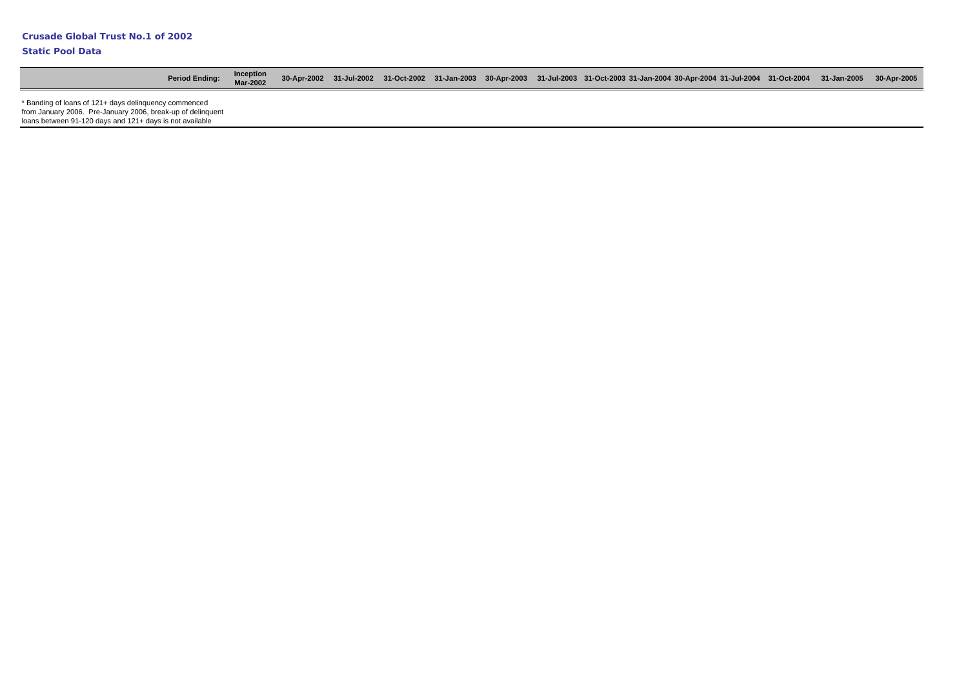| <b>Period Ending:</b>                                                                                                   | Inception<br>Mar-2002 |  |  |  | 31-Apr-2002 31-Jul-2002 31-Oct-2002 31-Jan-2003 30-Apr-2003 31-Jul-2003 31-Oct-2003 31-Jan-2004 30-Apr-2004 31-Jul-2004 31-Oct-2004 31-Jan-2005 30-Apr-2005 |  |  |
|-------------------------------------------------------------------------------------------------------------------------|-----------------------|--|--|--|-------------------------------------------------------------------------------------------------------------------------------------------------------------|--|--|
| * Banding of loans of 121+ days delinguency commenced                                                                   |                       |  |  |  |                                                                                                                                                             |  |  |
| from January 2006. Pre-January 2006, break-up of delinguent<br>loans between 91-120 days and 121+ days is not available |                       |  |  |  |                                                                                                                                                             |  |  |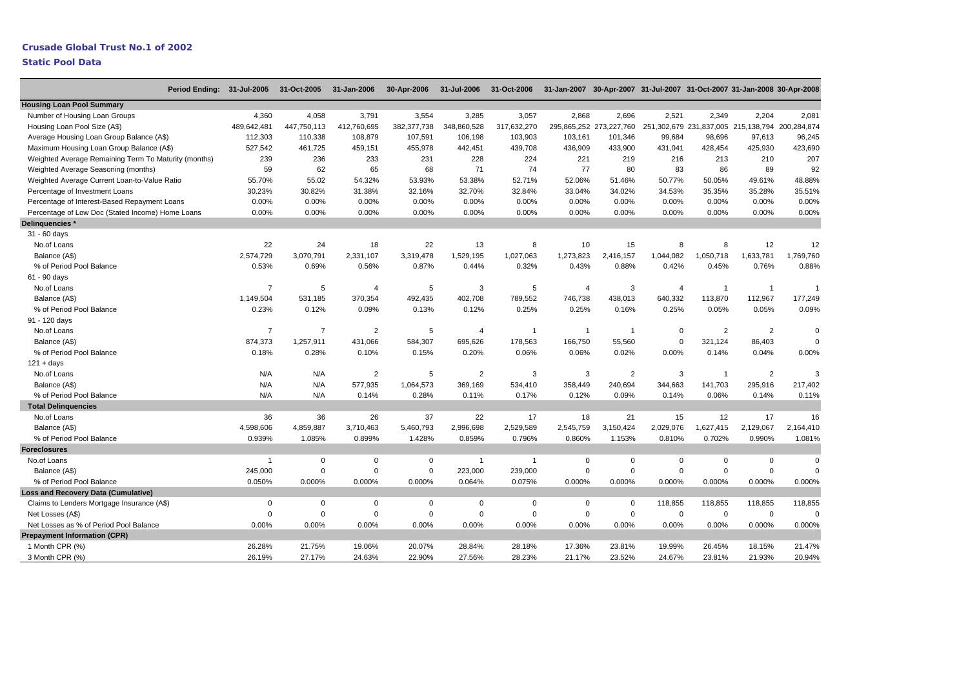## **Crusade Global Trust No.1 of 2002**

## **Static Pool Data**

 $\overline{\phantom{0}}$ 

| Period Ending: 31-Jul-2005                           |                | 31-Oct-2005    | 31-Jan-2006    | 30-Apr-2006   | 31-Jul-2006    | 31-Oct-2006    | 31-Jan-2007 30-Apr-2007 31-Jul-2007 31-Oct-2007 31-Jan-2008 30-Apr-2008 |                         |                |                |                                                 |             |
|------------------------------------------------------|----------------|----------------|----------------|---------------|----------------|----------------|-------------------------------------------------------------------------|-------------------------|----------------|----------------|-------------------------------------------------|-------------|
| <b>Housing Loan Pool Summary</b>                     |                |                |                |               |                |                |                                                                         |                         |                |                |                                                 |             |
| Number of Housing Loan Groups                        | 4,360          | 4,058          | 3,791          | 3,554         | 3,285          | 3,057          | 2,868                                                                   | 2,696                   | 2,521          | 2,349          | 2,204                                           | 2,081       |
| Housing Loan Pool Size (A\$)                         | 489,642,481    | 447,750,113    | 412,760,695    | 382, 377, 738 | 348,860,528    | 317,632,270    |                                                                         | 295,865,252 273,227,760 |                |                | 251,302,679 231,837,005 215,138,794 200,284,874 |             |
| Average Housing Loan Group Balance (A\$)             | 112,303        | 110,338        | 108,879        | 107,591       | 106,198        | 103,903        | 103,161                                                                 | 101,346                 | 99,684         | 98,696         | 97,613                                          | 96,245      |
| Maximum Housing Loan Group Balance (A\$)             | 527,542        | 461,725        | 459,151        | 455,978       | 442,451        | 439,708        | 436,909                                                                 | 433,900                 | 431,041        | 428,454        | 425,930                                         | 423,690     |
| Weighted Average Remaining Term To Maturity (months) | 239            | 236            | 233            | 231           | 228            | 224            | 221                                                                     | 219                     | 216            | 213            | 210                                             | 207         |
| Weighted Average Seasoning (months)                  | 59             | 62             | 65             | 68            | 71             | 74             | 77                                                                      | 80                      | 83             | 86             | 89                                              | 92          |
| Weighted Average Current Loan-to-Value Ratio         | 55.70%         | 55.02          | 54.32%         | 53.93%        | 53.38%         | 52.71%         | 52.06%                                                                  | 51.46%                  | 50.77%         | 50.05%         | 49.61%                                          | 48.88%      |
| Percentage of Investment Loans                       | 30.23%         | 30.82%         | 31.38%         | 32.16%        | 32.70%         | 32.84%         | 33.04%                                                                  | 34.02%                  | 34.53%         | 35.35%         | 35.28%                                          | 35.51%      |
| Percentage of Interest-Based Repayment Loans         | 0.00%          | 0.00%          | 0.00%          | 0.00%         | 0.00%          | 0.00%          | 0.00%                                                                   | 0.00%                   | 0.00%          | 0.00%          | 0.00%                                           | 0.00%       |
| Percentage of Low Doc (Stated Income) Home Loans     | 0.00%          | 0.00%          | 0.00%          | 0.00%         | 0.00%          | 0.00%          | 0.00%                                                                   | 0.00%                   | 0.00%          | 0.00%          | 0.00%                                           | 0.00%       |
| Delinquencies *                                      |                |                |                |               |                |                |                                                                         |                         |                |                |                                                 |             |
| 31 - 60 days                                         |                |                |                |               |                |                |                                                                         |                         |                |                |                                                 |             |
| No.of Loans                                          | 22             | 24             | 18             | 22            | 13             | 8              | 10                                                                      | 15                      | 8              | 8              | 12                                              | 12          |
| Balance (A\$)                                        | 2,574,729      | 3,070,791      | 2,331,107      | 3,319,478     | 1,529,195      | 1,027,063      | 1,273,823                                                               | 2,416,157               | 1,044,082      | 1,050,718      | 1,633,781                                       | 1,769,760   |
| % of Period Pool Balance                             | 0.53%          | 0.69%          | 0.56%          | 0.87%         | 0.44%          | 0.32%          | 0.43%                                                                   | 0.88%                   | 0.42%          | 0.45%          | 0.76%                                           | 0.88%       |
| 61 - 90 days                                         |                |                |                |               |                |                |                                                                         |                         |                |                |                                                 |             |
| No.of Loans                                          | $\overline{7}$ | 5              | $\overline{4}$ | 5             | 3              | 5              | 4                                                                       | 3                       | $\overline{4}$ | $\overline{1}$ | $\overline{1}$                                  |             |
| Balance (A\$)                                        | 1,149,504      | 531,185        | 370,354        | 492,435       | 402,708        | 789,552        | 746,738                                                                 | 438,013                 | 640,332        | 113,870        | 112,967                                         | 177,249     |
| % of Period Pool Balance                             | 0.23%          | 0.12%          | 0.09%          | 0.13%         | 0.12%          | 0.25%          | 0.25%                                                                   | 0.16%                   | 0.25%          | 0.05%          | 0.05%                                           | 0.09%       |
| 91 - 120 days                                        |                |                |                |               |                |                |                                                                         |                         |                |                |                                                 |             |
| No.of Loans                                          | $\overline{7}$ | $\overline{7}$ | $\overline{c}$ | 5             | $\overline{4}$ | 1              | $\overline{1}$                                                          | $\overline{1}$          | $\mathbf 0$    | $\overline{2}$ | $\overline{2}$                                  | $\mathbf 0$ |
| Balance (A\$)                                        | 874,373        | 1,257,911      | 431,066        | 584,307       | 695,626        | 178,563        | 166,750                                                                 | 55,560                  | $\mathbf 0$    | 321,124        | 86,403                                          | $\mathbf 0$ |
| % of Period Pool Balance                             | 0.18%          | 0.28%          | 0.10%          | 0.15%         | 0.20%          | 0.06%          | 0.06%                                                                   | 0.02%                   | 0.00%          | 0.14%          | 0.04%                                           | 0.00%       |
| 121 + days                                           |                |                |                |               |                |                |                                                                         |                         |                |                |                                                 |             |
| No.of Loans                                          | N/A            | N/A            | $\overline{2}$ | 5             | $\overline{2}$ | 3              | 3                                                                       | $\overline{2}$          | 3              | $\overline{1}$ | $\overline{2}$                                  | 3           |
| Balance (A\$)                                        | N/A            | N/A            | 577,935        | 1,064,573     | 369,169        | 534,410        | 358,449                                                                 | 240,694                 | 344,663        | 141,703        | 295,916                                         | 217,402     |
| % of Period Pool Balance                             | N/A            | N/A            | 0.14%          | 0.28%         | 0.11%          | 0.17%          | 0.12%                                                                   | 0.09%                   | 0.14%          | 0.06%          | 0.14%                                           | 0.11%       |
| <b>Total Delinguencies</b>                           |                |                |                |               |                |                |                                                                         |                         |                |                |                                                 |             |
| No.of Loans                                          | 36             | 36             | 26             | 37            | 22             | 17             | 18                                                                      | 21                      | 15             | 12             | 17                                              | 16          |
| Balance (A\$)                                        | 4,598,606      | 4,859,887      | 3,710,463      | 5,460,793     | 2,996,698      | 2,529,589      | 2,545,759                                                               | 3,150,424               | 2,029,076      | 1,627,415      | 2,129,067                                       | 2,164,410   |
| % of Period Pool Balance                             | 0.939%         | 1.085%         | 0.899%         | 1.428%        | 0.859%         | 0.796%         | 0.860%                                                                  | 1.153%                  | 0.810%         | 0.702%         | 0.990%                                          | 1.081%      |
| <b>Foreclosures</b>                                  |                |                |                |               |                |                |                                                                         |                         |                |                |                                                 |             |
| No.of Loans                                          | $\overline{1}$ | $\mathbf 0$    | 0              | $\mathbf 0$   | 1              | $\overline{1}$ | 0                                                                       | $\mathbf 0$             | 0              | $\mathbf 0$    | $\mathbf 0$                                     | $\mathbf 0$ |
| Balance (A\$)                                        | 245,000        | $\mathbf 0$    | $\mathbf 0$    | $\mathbf 0$   | 223,000        | 239,000        | 0                                                                       | $\mathbf 0$             | $\mathbf 0$    | $\mathbf 0$    | $\mathbf 0$                                     | $\mathbf 0$ |
| % of Period Pool Balance                             | 0.050%         | 0.000%         | 0.000%         | 0.000%        | 0.064%         | 0.075%         | 0.000%                                                                  | 0.000%                  | 0.000%         | 0.000%         | 0.000%                                          | 0.000%      |
| <b>Loss and Recovery Data (Cumulative)</b>           |                |                |                |               |                |                |                                                                         |                         |                |                |                                                 |             |
| Claims to Lenders Mortgage Insurance (A\$)           | $\Omega$       | $\mathbf 0$    | $\mathbf 0$    | $\mathbf 0$   | $\Omega$       | $\mathbf 0$    | $\mathbf 0$                                                             | $\mathbf 0$             | 118,855        | 118,855        | 118,855                                         | 118,855     |
| Net Losses (A\$)                                     | $\mathbf 0$    | $\mathbf 0$    | $\mathbf 0$    | $\mathbf 0$   | $\mathbf 0$    | $\Omega$       | $\mathbf 0$                                                             | $\mathbf 0$             | $\mathbf 0$    | $\mathbf 0$    | $\mathbf 0$                                     | $\mathbf 0$ |
| Net Losses as % of Period Pool Balance               | 0.00%          | 0.00%          | 0.00%          | 0.00%         | 0.00%          | 0.00%          | 0.00%                                                                   | 0.00%                   | 0.00%          | 0.00%          | 0.000%                                          | 0.000%      |
| <b>Prepayment Information (CPR)</b>                  |                |                |                |               |                |                |                                                                         |                         |                |                |                                                 |             |
| 1 Month CPR (%)                                      | 26.28%         | 21.75%         | 19.06%         | 20.07%        | 28.84%         | 28.18%         | 17.36%                                                                  | 23.81%                  | 19.99%         | 26.45%         | 18.15%                                          | 21.47%      |
| 3 Month CPR (%)                                      | 26.19%         | 27.17%         | 24.63%         | 22.90%        | 27.56%         | 28.23%         | 21.17%                                                                  | 23.52%                  | 24.67%         | 23.81%         | 21.93%                                          | 20.94%      |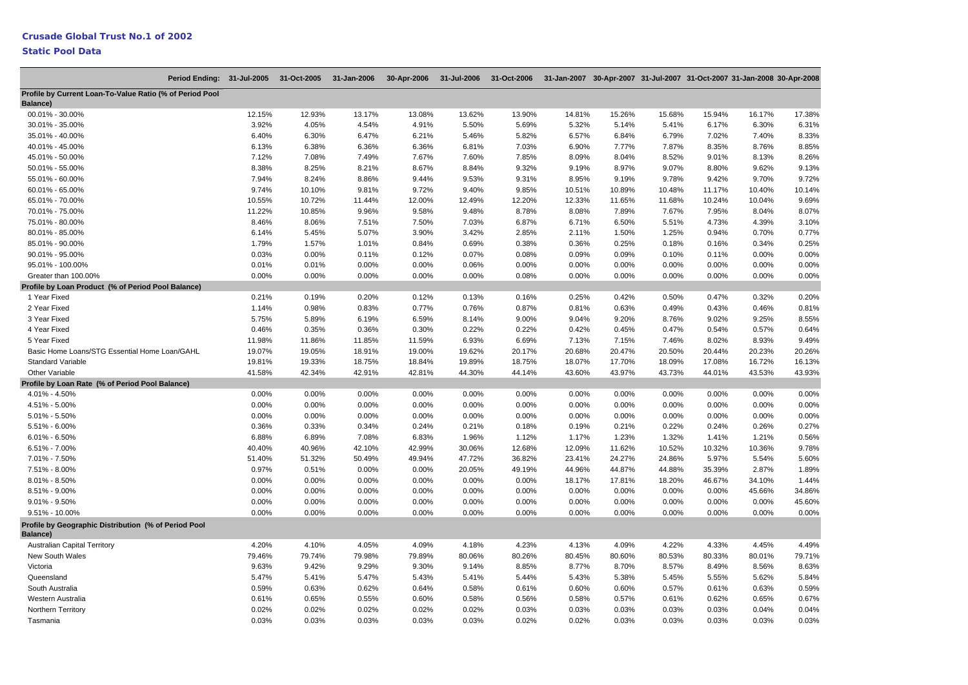| Period Ending: 31-Jul-2005 31-Oct-2005                           |        |        | 31-Jan-2006 | 30-Apr-2006 | 31-Jul-2006 31-Oct-2006 |        | 31-Jan-2007 30-Apr-2007 31-Jul-2007 31-Oct-2007 31-Jan-2008 30-Apr-2008 |        |        |        |        |        |
|------------------------------------------------------------------|--------|--------|-------------|-------------|-------------------------|--------|-------------------------------------------------------------------------|--------|--------|--------|--------|--------|
| Profile by Current Loan-To-Value Ratio (% of Period Pool         |        |        |             |             |                         |        |                                                                         |        |        |        |        |        |
| Balance)                                                         |        |        |             |             |                         |        |                                                                         |        |        |        |        |        |
| 00.01% - 30.00%                                                  | 12.15% | 12.93% | 13.17%      | 13.08%      | 13.62%                  | 13.90% | 14.81%                                                                  | 15.26% | 15.68% | 15.94% | 16.17% | 17.38% |
| 30.01% - 35.00%                                                  | 3.92%  | 4.05%  | 4.54%       | 4.91%       | 5.50%                   | 5.69%  | 5.32%                                                                   | 5.14%  | 5.41%  | 6.17%  | 6.30%  | 6.31%  |
| 35.01% - 40.00%                                                  | 6.40%  | 6.30%  | 6.47%       | 6.21%       | 5.46%                   | 5.82%  | 6.57%                                                                   | 6.84%  | 6.79%  | 7.02%  | 7.40%  | 8.33%  |
| 40.01% - 45.00%                                                  | 6.13%  | 6.38%  | 6.36%       | 6.36%       | 6.81%                   | 7.03%  | 6.90%                                                                   | 7.77%  | 7.87%  | 8.35%  | 8.76%  | 8.85%  |
| 45.01% - 50.00%                                                  | 7.12%  | 7.08%  | 7.49%       | 7.67%       | 7.60%                   | 7.85%  | 8.09%                                                                   | 8.04%  | 8.52%  | 9.01%  | 8.13%  | 8.26%  |
| 50.01% - 55.00%                                                  | 8.38%  | 8.25%  | 8.21%       | 8.67%       | 8.84%                   | 9.32%  | 9.19%                                                                   | 8.97%  | 9.07%  | 8.80%  | 9.62%  | 9.13%  |
| 55.01% - 60.00%                                                  | 7.94%  | 8.24%  | 8.86%       | 9.44%       | 9.53%                   | 9.31%  | 8.95%                                                                   | 9.19%  | 9.78%  | 9.42%  | 9.70%  | 9.72%  |
| 60.01% - 65.00%                                                  | 9.74%  | 10.10% | 9.81%       | 9.72%       | 9.40%                   | 9.85%  | 10.51%                                                                  | 10.89% | 10.48% | 11.17% | 10.40% | 10.14% |
| 65.01% - 70.00%                                                  | 10.55% | 10.72% | 11.44%      | 12.00%      | 12.49%                  | 12.20% | 12.33%                                                                  | 11.65% | 11.68% | 10.24% | 10.04% | 9.69%  |
| 70.01% - 75.00%                                                  | 11.22% | 10.85% | 9.96%       | 9.58%       | 9.48%                   | 8.78%  | 8.08%                                                                   | 7.89%  | 7.67%  | 7.95%  | 8.04%  | 8.07%  |
| 75.01% - 80.00%                                                  | 8.46%  | 8.06%  | 7.51%       | 7.50%       | 7.03%                   | 6.87%  | 6.71%                                                                   | 6.50%  | 5.51%  | 4.73%  | 4.39%  | 3.10%  |
| 80.01% - 85.00%                                                  | 6.14%  | 5.45%  | 5.07%       | 3.90%       | 3.42%                   | 2.85%  | 2.11%                                                                   | 1.50%  | 1.25%  | 0.94%  | 0.70%  | 0.77%  |
| 85.01% - 90.00%                                                  | 1.79%  | 1.57%  | 1.01%       | 0.84%       | 0.69%                   | 0.38%  | 0.36%                                                                   | 0.25%  | 0.18%  | 0.16%  | 0.34%  | 0.25%  |
| 90.01% - 95.00%                                                  | 0.03%  | 0.00%  | 0.11%       | 0.12%       | 0.07%                   | 0.08%  | 0.09%                                                                   | 0.09%  | 0.10%  | 0.11%  | 0.00%  | 0.00%  |
| 95.01% - 100.00%                                                 | 0.01%  | 0.01%  | 0.00%       | 0.00%       | 0.06%                   | 0.00%  | 0.00%                                                                   | 0.00%  | 0.00%  | 0.00%  | 0.00%  | 0.00%  |
| Greater than 100.00%                                             | 0.00%  | 0.00%  | 0.00%       | 0.00%       | 0.00%                   | 0.08%  | 0.00%                                                                   | 0.00%  | 0.00%  | 0.00%  | 0.00%  | 0.00%  |
| Profile by Loan Product (% of Period Pool Balance)               |        |        |             |             |                         |        |                                                                         |        |        |        |        |        |
| 1 Year Fixed                                                     | 0.21%  | 0.19%  | 0.20%       | 0.12%       | 0.13%                   | 0.16%  | 0.25%                                                                   | 0.42%  | 0.50%  | 0.47%  | 0.32%  | 0.20%  |
| 2 Year Fixed                                                     | 1.14%  | 0.98%  | 0.83%       | 0.77%       | 0.76%                   | 0.87%  | 0.81%                                                                   | 0.63%  | 0.49%  | 0.43%  | 0.46%  | 0.81%  |
| 3 Year Fixed                                                     | 5.75%  | 5.89%  | 6.19%       | 6.59%       | 8.14%                   | 9.00%  | 9.04%                                                                   | 9.20%  | 8.76%  | 9.02%  | 9.25%  | 8.55%  |
| 4 Year Fixed                                                     | 0.46%  | 0.35%  | 0.36%       | 0.30%       | 0.22%                   | 0.22%  | 0.42%                                                                   | 0.45%  | 0.47%  | 0.54%  | 0.57%  | 0.64%  |
| 5 Year Fixed                                                     | 11.98% | 11.86% | 11.85%      | 11.59%      | 6.93%                   | 6.69%  | 7.13%                                                                   | 7.15%  | 7.46%  | 8.02%  | 8.93%  | 9.49%  |
| Basic Home Loans/STG Essential Home Loan/GAHL                    | 19.07% | 19.05% | 18.91%      | 19.00%      | 19.62%                  | 20.17% | 20.68%                                                                  | 20.47% | 20.50% | 20.44% | 20.23% | 20.26% |
| <b>Standard Variable</b>                                         | 19.81% | 19.33% | 18.75%      | 18.84%      | 19.89%                  | 18.75% | 18.07%                                                                  | 17.70% | 18.09% | 17.08% | 16.72% | 16.13% |
| Other Variable                                                   | 41.58% | 42.34% | 42.91%      | 42.81%      | 44.30%                  | 44.14% | 43.60%                                                                  | 43.97% | 43.73% | 44.01% | 43.53% | 43.93% |
| Profile by Loan Rate (% of Period Pool Balance)                  |        |        |             |             |                         |        |                                                                         |        |        |        |        |        |
| 4.01% - 4.50%                                                    | 0.00%  | 0.00%  | 0.00%       | 0.00%       | 0.00%                   | 0.00%  | 0.00%                                                                   | 0.00%  | 0.00%  | 0.00%  | 0.00%  | 0.00%  |
| 4.51% - 5.00%                                                    | 0.00%  | 0.00%  | 0.00%       | 0.00%       | 0.00%                   | 0.00%  | 0.00%                                                                   | 0.00%  | 0.00%  | 0.00%  | 0.00%  | 0.00%  |
| $5.01\% - 5.50\%$                                                | 0.00%  | 0.00%  | 0.00%       | 0.00%       | 0.00%                   | 0.00%  | 0.00%                                                                   | 0.00%  | 0.00%  | 0.00%  | 0.00%  | 0.00%  |
| 5.51% - 6.00%                                                    | 0.36%  | 0.33%  | 0.34%       | 0.24%       | 0.21%                   | 0.18%  | 0.19%                                                                   | 0.21%  | 0.22%  | 0.24%  | 0.26%  | 0.27%  |
| $6.01\% - 6.50\%$                                                | 6.88%  | 6.89%  | 7.08%       | 6.83%       | 1.96%                   | 1.12%  | 1.17%                                                                   | 1.23%  | 1.32%  | 1.41%  | 1.21%  | 0.56%  |
| $6.51\% - 7.00\%$                                                | 40.40% | 40.96% | 42.10%      | 42.99%      | 30.06%                  | 12.68% | 12.09%                                                                  | 11.62% | 10.52% | 10.32% | 10.36% | 9.78%  |
| 7.01% - 7.50%                                                    | 51.40% | 51.32% | 50.49%      | 49.94%      | 47.72%                  | 36.82% | 23.41%                                                                  | 24.27% | 24.86% | 5.97%  | 5.54%  | 5.60%  |
| 7.51% - 8.00%                                                    | 0.97%  | 0.51%  | 0.00%       | 0.00%       | 20.05%                  | 49.19% | 44.96%                                                                  | 44.87% | 44.88% | 35.39% | 2.87%  | 1.89%  |
| 8.01% - 8.50%                                                    | 0.00%  | 0.00%  | 0.00%       | 0.00%       | 0.00%                   | 0.00%  | 18.17%                                                                  | 17.81% | 18.20% | 46.67% | 34.10% | 1.44%  |
| 8.51% - 9.00%                                                    | 0.00%  | 0.00%  | 0.00%       | 0.00%       | 0.00%                   | 0.00%  | 0.00%                                                                   | 0.00%  | 0.00%  | 0.00%  | 45.66% | 34.86% |
| $9.01\% - 9.50\%$                                                | 0.00%  | 0.00%  | 0.00%       | 0.00%       | 0.00%                   | 0.00%  | 0.00%                                                                   | 0.00%  | 0.00%  | 0.00%  | 0.00%  | 45.60% |
| 9.51% - 10.00%                                                   | 0.00%  | 0.00%  | 0.00%       | 0.00%       | 0.00%                   | 0.00%  | 0.00%                                                                   | 0.00%  | 0.00%  | 0.00%  | 0.00%  | 0.00%  |
| Profile by Geographic Distribution (% of Period Pool<br>Balance) |        |        |             |             |                         |        |                                                                         |        |        |        |        |        |
| <b>Australian Capital Territory</b>                              | 4.20%  | 4.10%  | 4.05%       | 4.09%       | 4.18%                   | 4.23%  | 4.13%                                                                   | 4.09%  | 4.22%  | 4.33%  | 4.45%  | 4.49%  |
| New South Wales                                                  | 79.46% | 79.74% | 79.98%      | 79.89%      | 80.06%                  | 80.26% | 80.45%                                                                  | 80.60% | 80.53% | 80.33% | 80.01% | 79.71% |
| Victoria                                                         | 9.63%  | 9.42%  | 9.29%       | 9.30%       | 9.14%                   | 8.85%  | 8.77%                                                                   | 8.70%  | 8.57%  | 8.49%  | 8.56%  | 8.63%  |
| Queensland                                                       | 5.47%  | 5.41%  | 5.47%       | 5.43%       | 5.41%                   | 5.44%  | 5.43%                                                                   | 5.38%  | 5.45%  | 5.55%  | 5.62%  | 5.84%  |
| South Australia                                                  | 0.59%  | 0.63%  | 0.62%       | 0.64%       | 0.58%                   | 0.61%  | 0.60%                                                                   | 0.60%  | 0.57%  | 0.61%  | 0.63%  | 0.59%  |
| Western Australia                                                | 0.61%  | 0.65%  | 0.55%       | 0.60%       | 0.58%                   | 0.56%  | 0.58%                                                                   | 0.57%  | 0.61%  | 0.62%  | 0.65%  | 0.67%  |
| Northern Territory                                               | 0.02%  | 0.02%  | 0.02%       | 0.02%       | 0.02%                   | 0.03%  | 0.03%                                                                   | 0.03%  | 0.03%  | 0.03%  | 0.04%  | 0.04%  |
| Tasmania                                                         | 0.03%  | 0.03%  | 0.03%       | 0.03%       | 0.03%                   | 0.02%  | 0.02%                                                                   | 0.03%  | 0.03%  | 0.03%  | 0.03%  | 0.03%  |